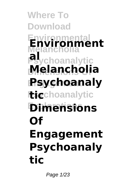#### **Where To Download Environmental Environment Melancholia Psychoanalytic Dimensions Of Engagement Psychoanaly itig**choanalytic **Explorations Dimensions al Melancholia Of Engagement Psychoanaly tic**

Page 1/23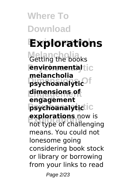**Where To Download Explorations** *Getting the books* **Psychoanalytic environmental Dimensions Of psychoanalytic Engagement dimensions of Psychoanalytic psychoanalytic Explorations** not type of challenging **melancholia engagement explorations** now is means. You could not lonesome going considering book stock or library or borrowing from your links to read

Page 2/23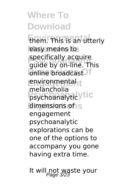**Where To Download Enem.** This is an utterly easy means to spectrically acquire<br>guide by on-line. This **Dinne broadcast Engagement** environmental **Psychoanalytic** psychoanalytic dimensions of S specifically acquire melancholia engagement psychoanalytic explorations can be one of the options to accompany you gone having extra time.

It will not waste your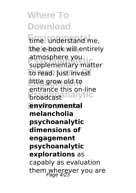**Eime.** understand me, the e-book will entirely aunosphere you<br>supplementary matter *<u>Do read.</u>* Just invest **Engagement** little grow old to **Proadcastanalytic Explorations environmental** atmosphere you entrance this on-line **melancholia psychoanalytic dimensions of engagement psychoanalytic explorations** as capably as evaluation them wherever you are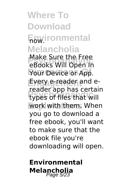**Where To Download Fow.ironmental Melancholia Psychoanalytic** eBooks Will Open In Your Device or App. Every e-reader and e-**Predict upp has certal** work with them. When Make Sure the Free reader app has certain you go to download a free ebook, you'll want to make sure that the

ebook file you're downloading will open.

#### **Environmental Melancholia**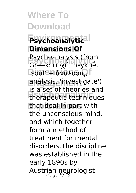**Environmental Psychoanalytic Dimensions Of Psychoanalytic** Greek: ψυχή, psykhḗ, **Boule + αναλυσις Engagement** análysis, 'investigate') **Ps** a second checked and **Explorations** that deal in part with Psychoanalysis (from is a set of theories and the unconscious mind, and which together form a method of treatment for mental disorders.The discipline was established in the early 1890s by Austrian neurologist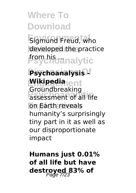**Eigmund Freud, who** developed the practice *f***rgm his analytic** 

**Psychoanalysis Engagement Wikipedia Production** curring **Explorations** on Earth reveals Groundbreaking humanity's surprisingly tiny part in it as well as our disproportionate impact

**Humans just 0.01% of all life but have destroyed 83% of** Page 7/23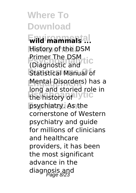**Environmental wild mammals ... Melancholia** History of the DSM **Primer The DSM Fictor Statistical Manual of Mental Disorders**) has a the history of Vtic psychiatry. As the Primer The DSM long and storied role in cornerstone of Western psychiatry and guide for millions of clinicians and healthcare providers, it has been the most significant advance in the diagnosis and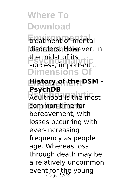**Environmental** treatment of mental disorders. However, in **Principal Correlation**<br>
success, important ... **Dimensions Of** the midst of its

#### **Engagement History of the DSM - PsychDB**

**Provided** is the most **Explorations** common time for bereavement, with losses occurring with ever-increasing frequency as people age. Whereas loss through death may be a relatively uncommon event for the young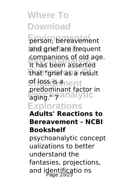**Ferson, bereavement** and grief are frequent **Psychoanalytic** It has been asserted that "grief as a result **Lefless gement Predommand Record Explorations** companions of old age. predominant factor in

#### **Adults' Reactions to Bereavement - NCBI Bookshelf**

psychoanalytic concept ualizations to better understand the fantasies, projections, and identificatio ns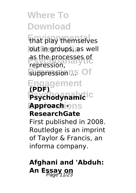**Enat play themselves** out in groups, as well as the processes of<br>
repression **Guppressionns Of** repression,

#### **Engagement Psychodynamic**ic **Approachions (PDF)**

#### **ResearchGate**

First published in 2008. Routledge is an imprint of Taylor & Francis, an informa company.

#### **Afghani and 'Abduh: An Essay on** Page 11/23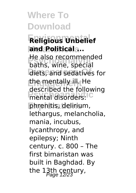**Environmental Religious Unbelief and Political ... Pre** also recommend<br>baths, wine, special diets, and sedatives for **Engagement** the mentally ill. He mental disorders:<sup>10</sup> phrenitis, delirium, He also recommended described the following lethargus, melancholia, mania, incubus, lycanthropy, and epilepsy; Ninth century. c. 800 – The first bimaristan was built in Baghdad. By the  $13th$  century,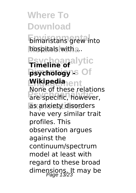**E**imaristans grew into hospitals with ...

**Psychoanalytic Timeline of psychology -> Of Engagement Wikipedia Profile of critics** Federion as anxiety disorders None of these relations have very similar trait profiles. This observation argues against the continuum/spectrum model at least with regard to these broad dimensions. It may be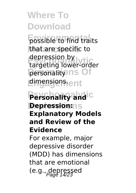**Fossible to find traits** that are specific to **Psychoanalytic** targeting lower-order **Dersonality** ns Of **Engagement** dimensions. depression by

#### **Personality and c Depression:** $\cap$ s **Explanatory Models and Review of the Evidence**

For example, major depressive disorder (MDD) has dimensions that are emotional  $(e.g., g_{e}^{q}g_{f}^{q}g_{f}^{q})$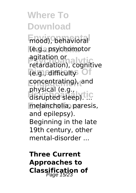**Environmental** mood), behavioral **Melancholia** (e.g., psychomotor **Properties**<br> **Properties** *<u>Digital Financieus</u>* **Engagement** concentrating), and **physical (e.g., light)**<br>disrupted sleep).<sup>[10]</sup> melancholia, paresis, retardation), cognitive disrupted sleep). ... and epilepsy). Beginning in the late 19th century, other mental-disorder ...

**Three Current Approaches to Classification of**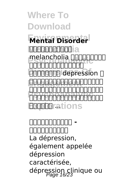**Frantal Disorder Melandinol**ia **Preferencholia จะยาวเป็นปีนิปิน**<br>ภาพภาพภาพภาพภาพภา **DODOODO depression ENGAGEMENT CONSTRUCT Psychoanalytic** จน์โดยสิ้นคริสต์ศตว **Explorations** คำวินิจฉัยหลัก นของของของของของขอ

**INNE วิกิพีเดีย** La dépression, également appelée dépression caractérisée, dépression clinique ou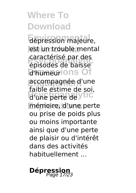**Environmental** dépression majeure, est un trouble mental **Psychoanalytic** épisodes de baisse **Dimmentions** Of **accompagnée d'une** d'une perte de ytic mémoire, d'une perte caractérisé par des faible estime de soi, ou prise de poids plus ou moins importante ainsi que d'une perte de plaisir ou d'intérêt dans des activités habituellement ...

# **Dépress**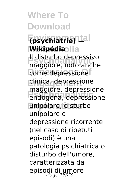#### **Environmental (psychiatrie) — Mikipédia**olia

**Psychoanalytic** maggiore, noto anche *<u>Come</u>* depressione **Engagement** clinica, depressione **Psychoanalytic** endogena, depressione **Explorations** unipolare, disturbo Il disturbo depressivo maggiore, depressione unipolare o depressione ricorrente (nel caso di ripetuti episodi) è una patologia psichiatrica o disturbo dell'umore, caratterizzata da episodi di umore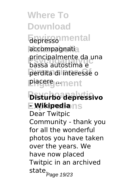**Where To Download Environmental** depresso accompagnatia **Psychoanalytic** bassa autostima e **Dimensions Of** perdita di interesse o **Engagement** piacere ... principalmente da una

**Psychoanalytic Disturbo depressivo Explorations - Wikipedia** Dear Twitpic Community - thank you for all the wonderful photos you have taken over the years. We have now placed Twitpic in an archived state<sub>.</sub><br>Page 19/23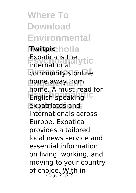**Where To Download Environmental Melancholia Twitpic Expatica is the ytic Community's online Engagement** home away from **Profile: A finaly Feud** expatriates and international home. A must-read for internationals across Europe, Expatica provides a tailored local news service and essential information on living, working, and moving to your country of choice. With in-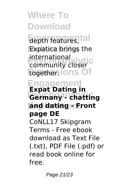**Elepth features, tal Expatica brings the Properties**<br>Community closer together.ions Of **Engagement Psychoanalytic Germany - chatting Explorations and dating - Front** community closer **Expat Dating in page DE** CoNLL17 Skipgram Terms - Free ebook download as Text File (.txt), PDF File (.pdf) or read book online for free.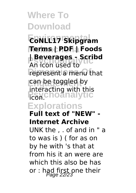#### **Environmental CoNLL17 Skipgram Melancholia Terms | PDF | Foods | Beverages - Scribd**

**Product and Serverages - Script**<br>An icon used to represent a menu that **Engagement** can be toggled by **Psychoanalytic** icon. interacting with this

#### **Explorations**

**Full text of "NEW" - Internet Archive**

UNK the , . of and in " a to was is ) ( for as on by he with 's that at from his it an were are which this also be has or : had first one their<br> $P_{\text{age}}$  22/23